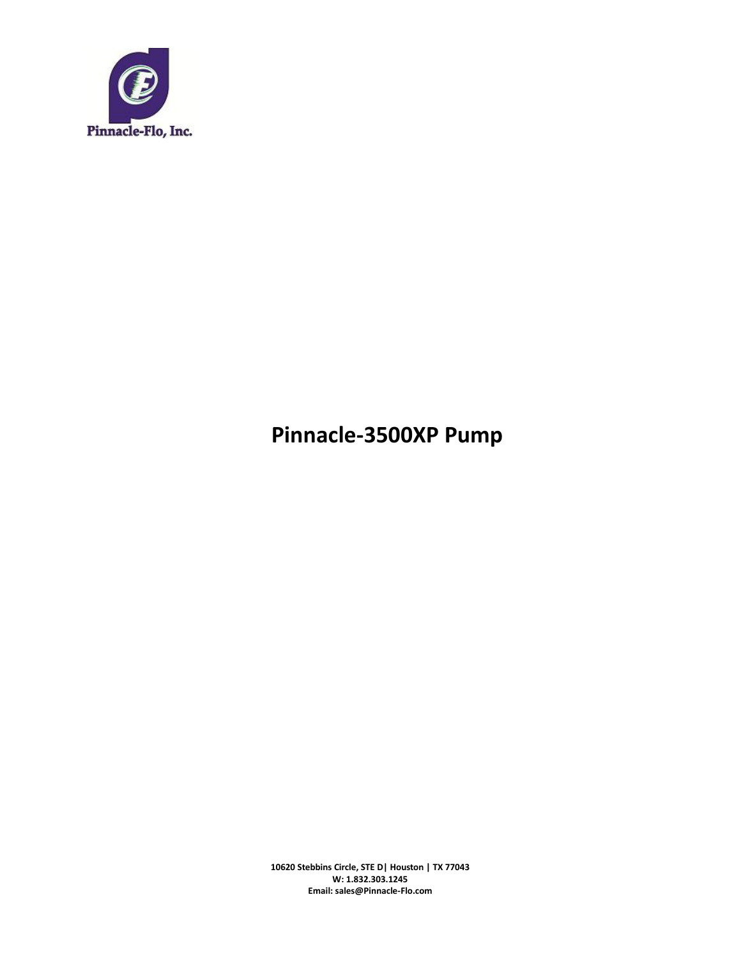

## **Pinnacle-3500XP Pump**

**10620 Stebbins Circle, STE D| Houston | TX 77043 W: 1.832.303.1245 Email: sales@Pinnacle-Flo.com**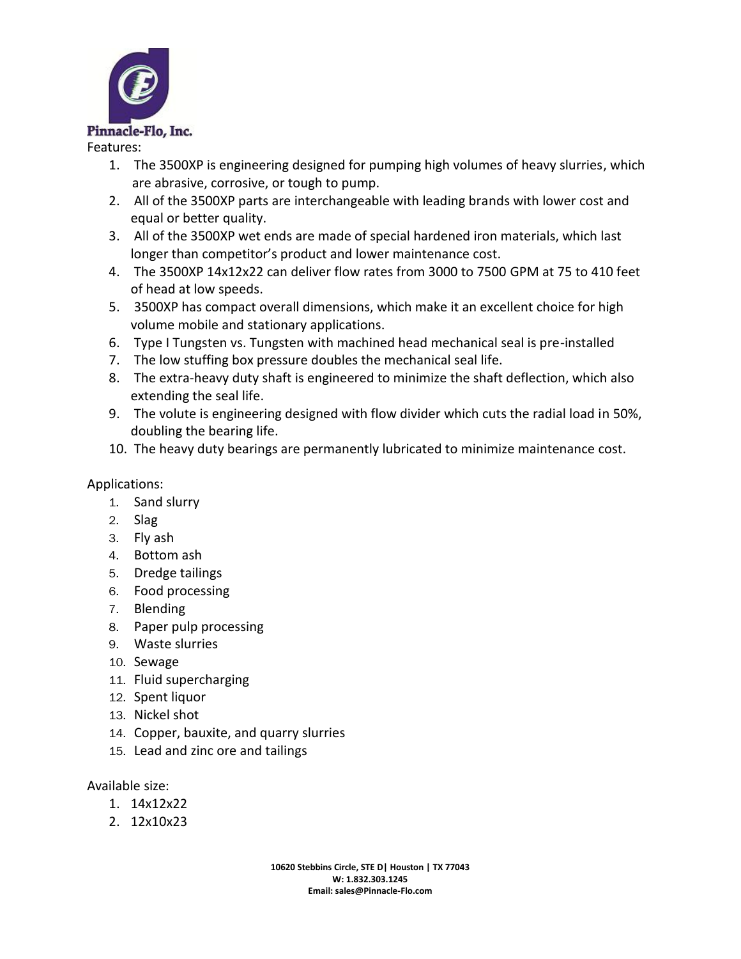

- 1. The 3500XP is engineering designed for pumping high volumes of heavy slurries, which are abrasive, corrosive, or tough to pump.
- 2. All of the 3500XP parts are interchangeable with leading brands with lower cost and equal or better quality.
- 3. All of the 3500XP wet ends are made of special hardened iron materials, which last longer than competitor's product and lower maintenance cost.
- 4. The 3500XP 14x12x22 can deliver flow rates from 3000 to 7500 GPM at 75 to 410 feet of head at low speeds.
- 5. 3500XP has compact overall dimensions, which make it an excellent choice for high volume mobile and stationary applications.
- 6. Type I Tungsten vs. Tungsten with machined head mechanical seal is pre-installed
- 7. The low stuffing box pressure doubles the mechanical seal life.
- 8. The extra-heavy duty shaft is engineered to minimize the shaft deflection, which also extending the seal life.
- 9. The volute is engineering designed with flow divider which cuts the radial load in 50%, doubling the bearing life.
- 10. The heavy duty bearings are permanently lubricated to minimize maintenance cost.

## Applications:

- 1. Sand slurry
- 2. Slag
- 3. Fly ash
- 4. Bottom ash
- 5. Dredge tailings
- 6. Food processing
- 7. Blending
- 8. Paper pulp processing
- 9. Waste slurries
- 10. Sewage
- 11. Fluid supercharging
- 12. Spent liquor
- 13. Nickel shot
- 14. Copper, bauxite, and quarry slurries
- 15. Lead and zinc ore and tailings

Available size:

- 1. 14x12x22
- 2. 12x10x23

**10620 Stebbins Circle, STE D| Houston | TX 77043 W: 1.832.303.1245 Email: sales@Pinnacle-Flo.com**